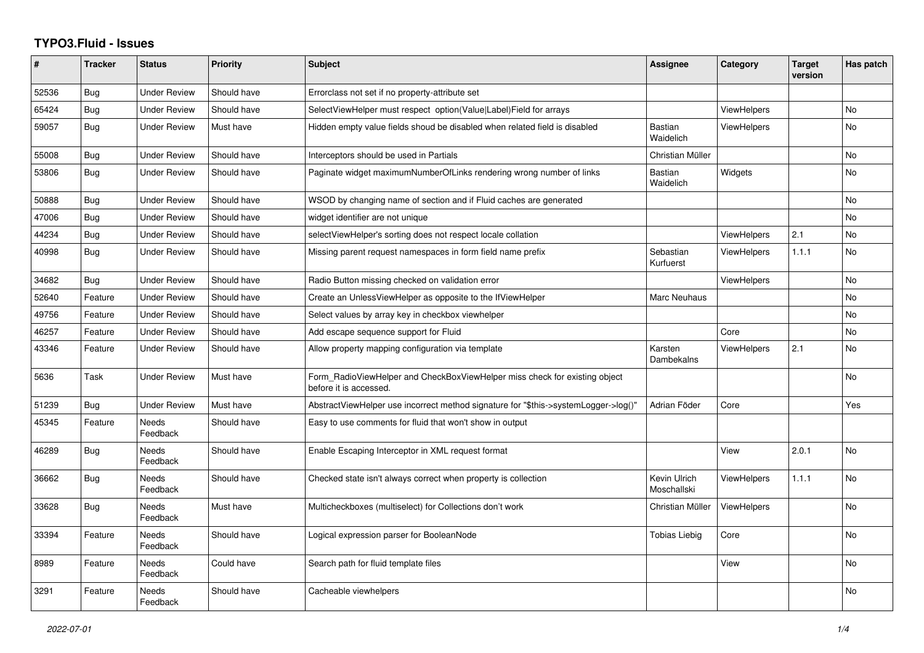## **TYPO3.Fluid - Issues**

| #     | <b>Tracker</b> | <b>Status</b>            | <b>Priority</b> | Subject                                                                                              | Assignee                    | Category           | <b>Target</b><br>version | Has patch      |
|-------|----------------|--------------------------|-----------------|------------------------------------------------------------------------------------------------------|-----------------------------|--------------------|--------------------------|----------------|
| 52536 | Bug            | <b>Under Review</b>      | Should have     | Errorclass not set if no property-attribute set                                                      |                             |                    |                          |                |
| 65424 | <b>Bug</b>     | Under Review             | Should have     | SelectViewHelper must respect option(Value Label)Field for arrays                                    |                             | ViewHelpers        |                          | No.            |
| 59057 | Bug            | <b>Under Review</b>      | Must have       | Hidden empty value fields shoud be disabled when related field is disabled                           | <b>Bastian</b><br>Waidelich | <b>ViewHelpers</b> |                          | No             |
| 55008 | <b>Bug</b>     | <b>Under Review</b>      | Should have     | Interceptors should be used in Partials                                                              | Christian Müller            |                    |                          | No             |
| 53806 | Bug            | <b>Under Review</b>      | Should have     | Paginate widget maximumNumberOfLinks rendering wrong number of links                                 | Bastian<br>Waidelich        | Widgets            |                          | No             |
| 50888 | Bug            | <b>Under Review</b>      | Should have     | WSOD by changing name of section and if Fluid caches are generated                                   |                             |                    |                          | No             |
| 47006 | Bug            | <b>Under Review</b>      | Should have     | widget identifier are not unique                                                                     |                             |                    |                          | No             |
| 44234 | Bug            | <b>Under Review</b>      | Should have     | selectViewHelper's sorting does not respect locale collation                                         |                             | <b>ViewHelpers</b> | 2.1                      | No             |
| 40998 | Bug            | Under Review             | Should have     | Missing parent request namespaces in form field name prefix                                          | Sebastian<br>Kurfuerst      | <b>ViewHelpers</b> | 1.1.1                    | No             |
| 34682 | Bug            | <b>Under Review</b>      | Should have     | Radio Button missing checked on validation error                                                     |                             | <b>ViewHelpers</b> |                          | No             |
| 52640 | Feature        | <b>Under Review</b>      | Should have     | Create an UnlessViewHelper as opposite to the IfViewHelper                                           | Marc Neuhaus                |                    |                          | No             |
| 49756 | Feature        | <b>Under Review</b>      | Should have     | Select values by array key in checkbox viewhelper                                                    |                             |                    |                          | <b>No</b>      |
| 46257 | Feature        | <b>Under Review</b>      | Should have     | Add escape sequence support for Fluid                                                                |                             | Core               |                          | No             |
| 43346 | Feature        | <b>Under Review</b>      | Should have     | Allow property mapping configuration via template                                                    | Karsten<br>Dambekalns       | <b>ViewHelpers</b> | 2.1                      | No             |
| 5636  | Task           | <b>Under Review</b>      | Must have       | Form_RadioViewHelper and CheckBoxViewHelper miss check for existing object<br>before it is accessed. |                             |                    |                          | No             |
| 51239 | Bug            | Under Review             | Must have       | AbstractViewHelper use incorrect method signature for "\$this->systemLogger->log()"                  | Adrian Föder                | Core               |                          | Yes            |
| 45345 | Feature        | <b>Needs</b><br>Feedback | Should have     | Easy to use comments for fluid that won't show in output                                             |                             |                    |                          |                |
| 46289 | Bug            | Needs<br>Feedback        | Should have     | Enable Escaping Interceptor in XML request format                                                    |                             | View               | 2.0.1                    | No             |
| 36662 | Bug            | Needs<br>Feedback        | Should have     | Checked state isn't always correct when property is collection                                       | Kevin Ulrich<br>Moschallski | <b>ViewHelpers</b> | 1.1.1                    | No             |
| 33628 | Bug            | Needs<br>Feedback        | Must have       | Multicheckboxes (multiselect) for Collections don't work                                             | Christian Müller            | <b>ViewHelpers</b> |                          | No             |
| 33394 | Feature        | <b>Needs</b><br>Feedback | Should have     | Logical expression parser for BooleanNode                                                            | <b>Tobias Liebig</b>        | Core               |                          | No.            |
| 8989  | Feature        | <b>Needs</b><br>Feedback | Could have      | Search path for fluid template files                                                                 |                             | View               |                          | N <sub>o</sub> |
| 3291  | Feature        | Needs<br>Feedback        | Should have     | Cacheable viewhelpers                                                                                |                             |                    |                          | No             |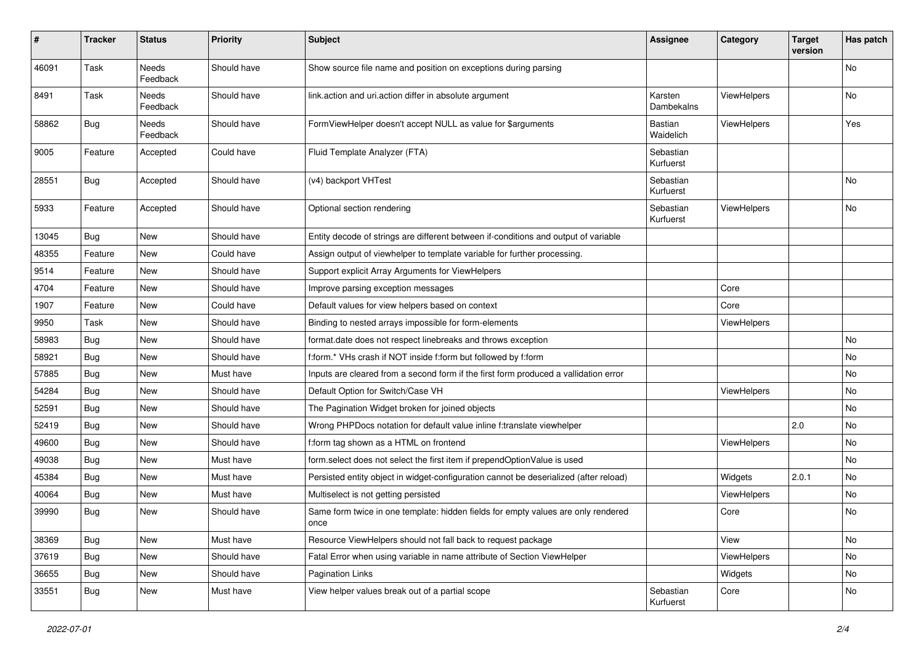| #     | <b>Tracker</b> | <b>Status</b>            | <b>Priority</b> | Subject                                                                                   | <b>Assignee</b>        | Category    | <b>Target</b><br>version | Has patch |
|-------|----------------|--------------------------|-----------------|-------------------------------------------------------------------------------------------|------------------------|-------------|--------------------------|-----------|
| 46091 | Task           | <b>Needs</b><br>Feedback | Should have     | Show source file name and position on exceptions during parsing                           |                        |             |                          | No        |
| 8491  | Task           | Needs<br>Feedback        | Should have     | link.action and uri.action differ in absolute argument                                    | Karsten<br>Dambekalns  | ViewHelpers |                          | No        |
| 58862 | <b>Bug</b>     | Needs<br>Feedback        | Should have     | FormViewHelper doesn't accept NULL as value for \$arguments                               | Bastian<br>Waidelich   | ViewHelpers |                          | Yes       |
| 9005  | Feature        | Accepted                 | Could have      | Fluid Template Analyzer (FTA)                                                             | Sebastian<br>Kurfuerst |             |                          |           |
| 28551 | <b>Bug</b>     | Accepted                 | Should have     | (v4) backport VHTest                                                                      | Sebastian<br>Kurfuerst |             |                          | No        |
| 5933  | Feature        | Accepted                 | Should have     | Optional section rendering                                                                | Sebastian<br>Kurfuerst | ViewHelpers |                          | No        |
| 13045 | Bug            | New                      | Should have     | Entity decode of strings are different between if-conditions and output of variable       |                        |             |                          |           |
| 48355 | Feature        | New                      | Could have      | Assign output of viewhelper to template variable for further processing.                  |                        |             |                          |           |
| 9514  | Feature        | New                      | Should have     | Support explicit Array Arguments for ViewHelpers                                          |                        |             |                          |           |
| 4704  | Feature        | New                      | Should have     | Improve parsing exception messages                                                        |                        | Core        |                          |           |
| 1907  | Feature        | New                      | Could have      | Default values for view helpers based on context                                          |                        | Core        |                          |           |
| 9950  | Task           | New                      | Should have     | Binding to nested arrays impossible for form-elements                                     |                        | ViewHelpers |                          |           |
| 58983 | Bug            | New                      | Should have     | format.date does not respect linebreaks and throws exception                              |                        |             |                          | No        |
| 58921 | Bug            | New                      | Should have     | f:form.* VHs crash if NOT inside f:form but followed by f:form                            |                        |             |                          | No        |
| 57885 | Bug            | New                      | Must have       | Inputs are cleared from a second form if the first form produced a vallidation error      |                        |             |                          | No        |
| 54284 | Bug            | New                      | Should have     | Default Option for Switch/Case VH                                                         |                        | ViewHelpers |                          | No        |
| 52591 | Bug            | New                      | Should have     | The Pagination Widget broken for joined objects                                           |                        |             |                          | No        |
| 52419 | Bug            | New                      | Should have     | Wrong PHPDocs notation for default value inline f:translate viewhelper                    |                        |             | 2.0                      | No        |
| 49600 | Bug            | New                      | Should have     | f:form tag shown as a HTML on frontend                                                    |                        | ViewHelpers |                          | No        |
| 49038 | Bug            | New                      | Must have       | form.select does not select the first item if prependOptionValue is used                  |                        |             |                          | No        |
| 45384 | <b>Bug</b>     | New                      | Must have       | Persisted entity object in widget-configuration cannot be deserialized (after reload)     |                        | Widgets     | 2.0.1                    | No        |
| 40064 | Bug            | New                      | Must have       | Multiselect is not getting persisted                                                      |                        | ViewHelpers |                          | No        |
| 39990 | Bug            | New                      | Should have     | Same form twice in one template: hidden fields for empty values are only rendered<br>once |                        | Core        |                          | No        |
| 38369 | <b>Bug</b>     | New                      | Must have       | Resource ViewHelpers should not fall back to request package                              |                        | View        |                          | No        |
| 37619 | <b>Bug</b>     | New                      | Should have     | Fatal Error when using variable in name attribute of Section ViewHelper                   |                        | ViewHelpers |                          | No        |
| 36655 | <b>Bug</b>     | New                      | Should have     | Pagination Links                                                                          |                        | Widgets     |                          | No        |
| 33551 | <b>Bug</b>     | New                      | Must have       | View helper values break out of a partial scope                                           | Sebastian<br>Kurfuerst | Core        |                          | No        |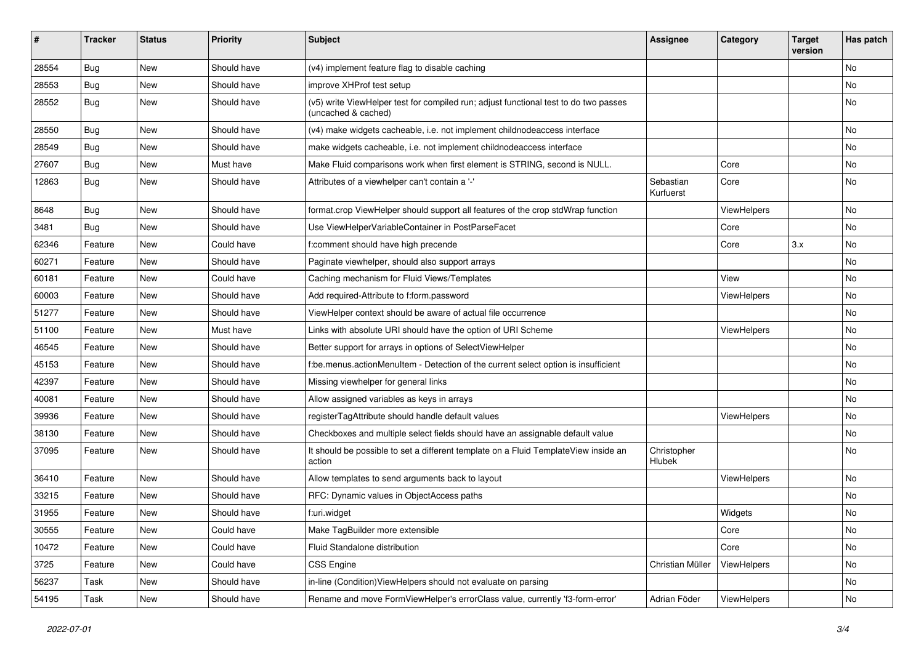| ∦     | <b>Tracker</b> | <b>Status</b> | <b>Priority</b> | <b>Subject</b>                                                                                              | <b>Assignee</b>        | Category    | <b>Target</b><br>version | Has patch |
|-------|----------------|---------------|-----------------|-------------------------------------------------------------------------------------------------------------|------------------------|-------------|--------------------------|-----------|
| 28554 | Bug            | New           | Should have     | (v4) implement feature flag to disable caching                                                              |                        |             |                          | No        |
| 28553 | Bug            | New           | Should have     | improve XHProf test setup                                                                                   |                        |             |                          | No        |
| 28552 | <b>Bug</b>     | New           | Should have     | (v5) write ViewHelper test for compiled run; adjust functional test to do two passes<br>(uncached & cached) |                        |             |                          | No        |
| 28550 | Bug            | New           | Should have     | (v4) make widgets cacheable, i.e. not implement childnodeaccess interface                                   |                        |             |                          | No        |
| 28549 | Bug            | New           | Should have     | make widgets cacheable, i.e. not implement childnodeaccess interface                                        |                        |             |                          | No        |
| 27607 | <b>Bug</b>     | New           | Must have       | Make Fluid comparisons work when first element is STRING, second is NULL.                                   |                        | Core        |                          | No        |
| 12863 | <b>Bug</b>     | New           | Should have     | Attributes of a viewhelper can't contain a '-'                                                              | Sebastian<br>Kurfuerst | Core        |                          | No        |
| 8648  | Bug            | New           | Should have     | format.crop ViewHelper should support all features of the crop stdWrap function                             |                        | ViewHelpers |                          | No.       |
| 3481  | <b>Bug</b>     | New           | Should have     | Use ViewHelperVariableContainer in PostParseFacet                                                           |                        | Core        |                          | No        |
| 62346 | Feature        | New           | Could have      | f:comment should have high precende                                                                         |                        | Core        | 3.x                      | No.       |
| 60271 | Feature        | New           | Should have     | Paginate viewhelper, should also support arrays                                                             |                        |             |                          | No        |
| 60181 | Feature        | <b>New</b>    | Could have      | Caching mechanism for Fluid Views/Templates                                                                 |                        | View        |                          | No.       |
| 60003 | Feature        | New           | Should have     | Add required-Attribute to f:form.password                                                                   |                        | ViewHelpers |                          | No        |
| 51277 | Feature        | New           | Should have     | ViewHelper context should be aware of actual file occurrence                                                |                        |             |                          | No        |
| 51100 | Feature        | New           | Must have       | Links with absolute URI should have the option of URI Scheme                                                |                        | ViewHelpers |                          | No.       |
| 46545 | Feature        | New           | Should have     | Better support for arrays in options of SelectViewHelper                                                    |                        |             |                          | No        |
| 45153 | Feature        | New           | Should have     | f:be.menus.actionMenuItem - Detection of the current select option is insufficient                          |                        |             |                          | No.       |
| 42397 | Feature        | New           | Should have     | Missing viewhelper for general links                                                                        |                        |             |                          | No        |
| 40081 | Feature        | New           | Should have     | Allow assigned variables as keys in arrays                                                                  |                        |             |                          | No        |
| 39936 | Feature        | New           | Should have     | registerTagAttribute should handle default values                                                           |                        | ViewHelpers |                          | No        |
| 38130 | Feature        | New           | Should have     | Checkboxes and multiple select fields should have an assignable default value                               |                        |             |                          | No.       |
| 37095 | Feature        | New           | Should have     | It should be possible to set a different template on a Fluid TemplateView inside an<br>action               | Christopher<br>Hlubek  |             |                          | No        |
| 36410 | Feature        | New           | Should have     | Allow templates to send arguments back to layout                                                            |                        | ViewHelpers |                          | No.       |
| 33215 | Feature        | New           | Should have     | RFC: Dynamic values in ObjectAccess paths                                                                   |                        |             |                          | No        |
| 31955 | Feature        | New           | Should have     | f:uri.widget                                                                                                |                        | Widgets     |                          | No        |
| 30555 | Feature        | New           | Could have      | Make TagBuilder more extensible                                                                             |                        | Core        |                          | No        |
| 10472 | Feature        | New           | Could have      | Fluid Standalone distribution                                                                               |                        | Core        |                          | No        |
| 3725  | Feature        | New           | Could have      | CSS Engine                                                                                                  | Christian Müller       | ViewHelpers |                          | No        |
| 56237 | Task           | New           | Should have     | in-line (Condition) ViewHelpers should not evaluate on parsing                                              |                        |             |                          | No        |
| 54195 | Task           | New           | Should have     | Rename and move FormViewHelper's errorClass value, currently 'f3-form-error'                                | Adrian Föder           | ViewHelpers |                          | No        |